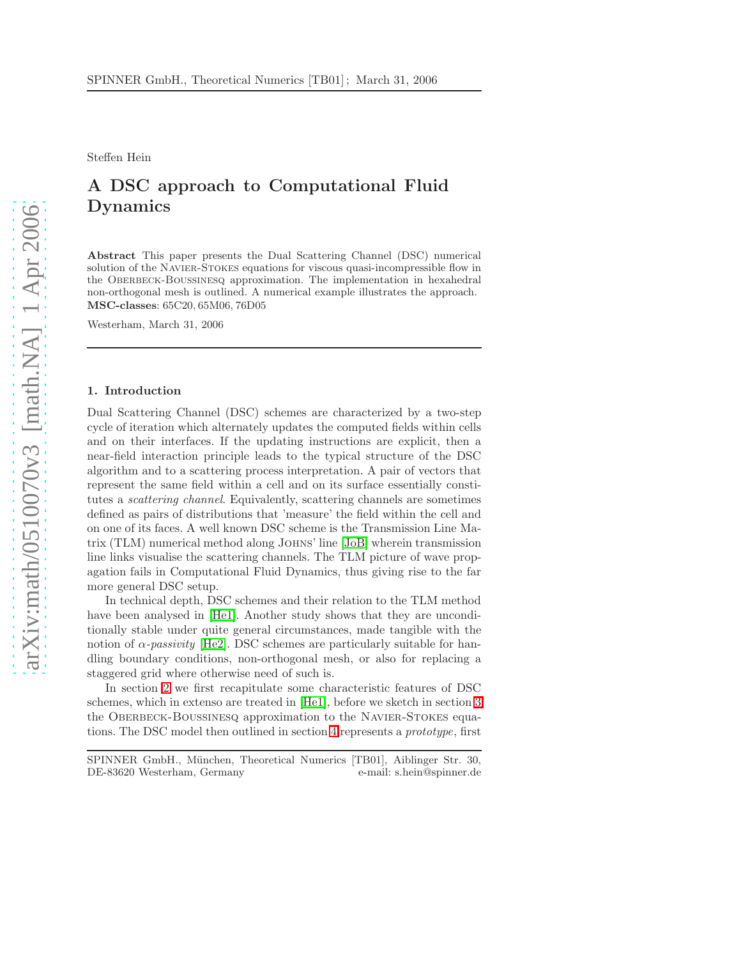Steffen Hein

# A DSC approach to Computational Fluid Dynamics

Abstract This paper presents the Dual Scattering Channel (DSC) numerical solution of the NAVIER-STOKES equations for viscous quasi-incompressible flow in the OBERBECK-BOUSSINESQ approximation. The implementation in hexahedral non-orthogonal mesh is outlined. A numerical example illustrates the approach. MSC-classes: 65C20, 65M06, 76D05

Westerham, March 31, 2006

#### 1. Introduction

Dual Scattering Channel (DSC) schemes are characterized by a two-step cycle of iteration which alternately updates the computed fields within cells and on their interfaces. If the updating instructions are explicit, then a near-field interaction principle leads to the typical structure of the DSC algorithm and to a scattering process interpretation. A pair of vectors that represent the same field within a cell and on its surface essentially constitutes a scattering channel. Equivalently, scattering channels are sometimes defined as pairs of distributions that 'measure' the field within the cell and on one of its faces. A well known DSC scheme is the Transmission Line Matrix (TLM) numerical method along Johns' line [\[JoB\]](#page-9-0) wherein transmission line links visualise the scattering channels. The TLM picture of wave propagation fails in Computational Fluid Dynamics, thus giving rise to the far more general DSC setup.

In technical depth, DSC schemes and their relation to the TLM method have been analysed in [\[He1\]](#page-9-1). Another study shows that they are unconditionally stable under quite general circumstances, made tangible with the notion of  $\alpha$ -passivity [\[He2\]](#page-9-2). DSC schemes are particularly suitable for handling boundary conditions, non-orthogonal mesh, or also for replacing a staggered grid where otherwise need of such is.

In section [2](#page-1-0) we first recapitulate some characteristic features of DSC schemes, which in extenso are treated in [\[He1\]](#page-9-1), before we sketch in section [3](#page-3-0) the OBERBECK-BOUSSINESQ approximation to the NAVIER-STOKES equations. The DSC model then outlined in section [4](#page-4-0) represents a prototype, first

SPINNER GmbH., München, Theoretical Numerics [TB01], Aiblinger Str. 30, DE-83620 Westerham, Germany e-mail: s.hein@spinner.de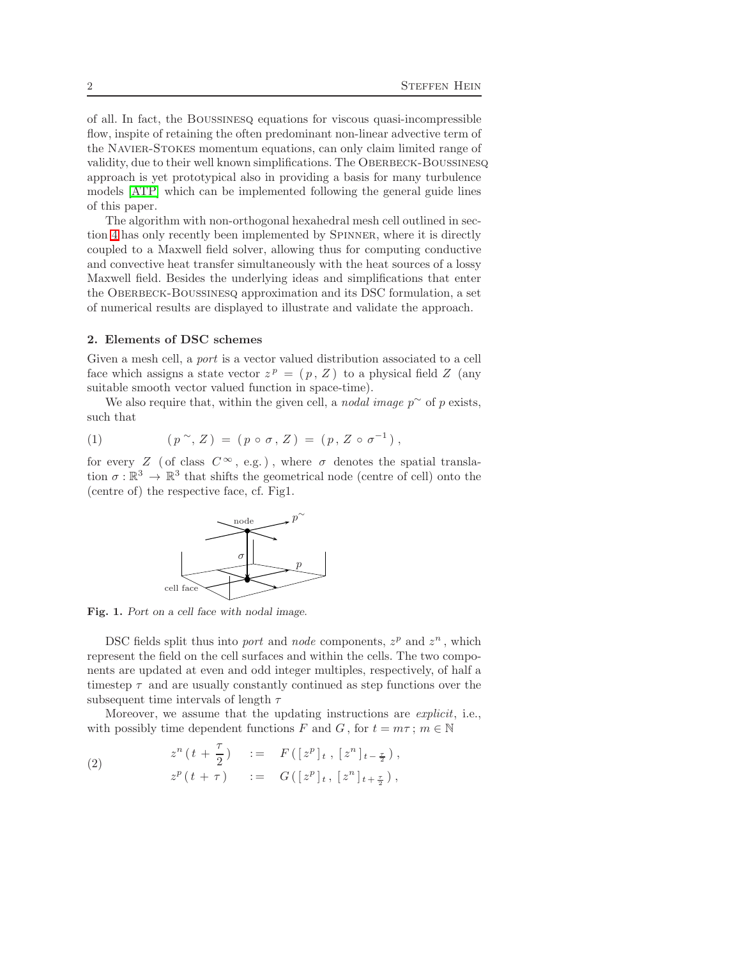of all. In fact, the Boussinesq equations for viscous quasi-incompressible flow, inspite of retaining the often predominant non-linear advective term of the Navier-Stokes momentum equations, can only claim limited range of validity, due to their well known simplifications. The OBERBECK-BOUSSINESQ approach is yet prototypical also in providing a basis for many turbulence models [\[ATP\]](#page-9-3) which can be implemented following the general guide lines of this paper.

The algorithm with non-orthogonal hexahedral mesh cell outlined in section [4](#page-4-0) has only recently been implemented by Spinner, where it is directly coupled to a Maxwell field solver, allowing thus for computing conductive and convective heat transfer simultaneously with the heat sources of a lossy Maxwell field. Besides the underlying ideas and simplifications that enter the OBERBECK-BOUSSINESQ approximation and its DSC formulation, a set of numerical results are displayed to illustrate and validate the approach.

## <span id="page-1-0"></span>2. Elements of DSC schemes

Given a mesh cell, a port is a vector valued distribution associated to a cell face which assigns a state vector  $z^p = (p, Z)$  to a physical field Z (any suitable smooth vector valued function in space-time).

<span id="page-1-1"></span>We also require that, within the given cell, a nodal image  $p^{\sim}$  of p exists, such that

(1) 
$$
(p^{\sim}, Z) = (p \circ \sigma, Z) = (p, Z \circ \sigma^{-1}),
$$

for every Z (of class  $C^{\infty}$ , e.g.), where  $\sigma$  denotes the spatial translation  $\sigma : \mathbb{R}^3 \to \mathbb{R}^3$  that shifts the geometrical node (centre of cell) onto the (centre of) the respective face, cf. Fig1.



Fig. 1. Port on a cell face with nodal image.

DSC fields split thus into *port* and *node* components,  $z^p$  and  $z^n$ , which represent the field on the cell surfaces and within the cells. The two components are updated at even and odd integer multiples, respectively, of half a timestep  $\tau$  and are usually constantly continued as step functions over the subsequent time intervals of length  $\tau$ 

Moreover, we assume that the updating instructions are explicit, i.e., with possibly time dependent functions F and G, for  $t = m\tau$ ;  $m \in \mathbb{N}$ 

(2) 
$$
z^{n}(t + \frac{\tau}{2}) := F([z^{p}]_{t}, [z^{n}]_{t-\frac{\tau}{2}}),
$$

$$
z^{p}(t + \tau) := G([z^{p}]_{t}, [z^{n}]_{t+\frac{\tau}{2}}),
$$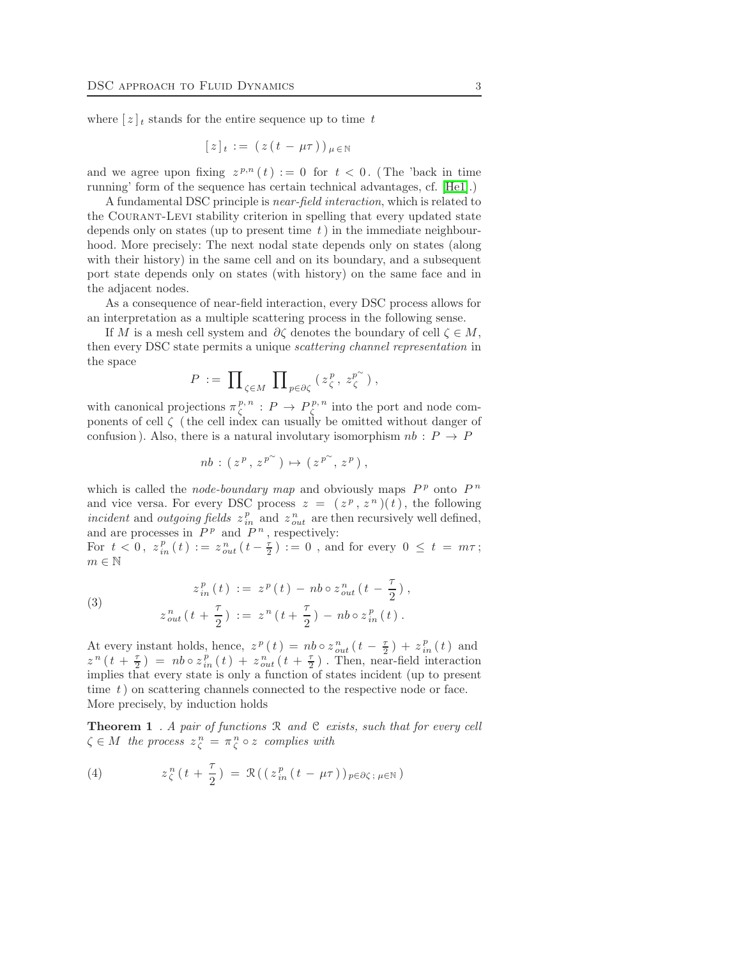where  $[z]_t$  stands for the entire sequence up to time t

$$
[z]_t := (z(t - \mu \tau))_{\mu \in \mathbb{N}}
$$

and we agree upon fixing  $z^{p,n}(t) := 0$  for  $t < 0$ . (The 'back in time running' form of the sequence has certain technical advantages, cf. [\[He1\]](#page-9-1).)

A fundamental DSC principle is near-field interaction, which is related to the Courant-Levi stability criterion in spelling that every updated state depends only on states (up to present time  $t$ ) in the immediate neighbourhood. More precisely: The next nodal state depends only on states (along with their history) in the same cell and on its boundary, and a subsequent port state depends only on states (with history) on the same face and in the adjacent nodes.

As a consequence of near-field interaction, every DSC process allows for an interpretation as a multiple scattering process in the following sense.

If M is a mesh cell system and  $\partial \zeta$  denotes the boundary of cell  $\zeta \in M$ , then every DSC state permits a unique scattering channel representation in the space

$$
P := \prod_{\zeta \in M} \prod_{p \in \partial \zeta} (z^p_{\zeta}, z^{p^{\sim}}_{\zeta}),
$$

with canonical projections  $\pi_{\zeta}^{p,n} : P \to P_{\zeta}^{p,n}$  into the port and node components of cell  $\zeta$  (the cell index can usually be omitted without danger of confusion). Also, there is a natural involutary isomorphism  $nb : P \rightarrow P$ 

$$
nb : (zp, zp^{\sim}) \mapsto (zp^{\sim}, zp),
$$

which is called the *node-boundary map* and obviously maps  $P^p$  onto  $P^n$ and vice versa. For every DSC process  $z = (z^p, z^n)(t)$ , the following incident and outgoing fields  $z_{in}^p$  and  $z_{out}^n$  are then recursively well defined, and are processes in  $P^p$  and  $P^n$ , respectively:

<span id="page-2-0"></span>For  $t < 0$ ,  $z_{in}^p(t) := z_{out}^n(t - \frac{\tau}{2}) := 0$ , and for every  $0 \le t = m\tau$ ;  $m \in \mathbb{N}$ 

> τ  $\frac{1}{2}$ ),

 $t$ ).

(3) 
$$
z_{in}^{p}(t) := z^{p}(t) - nb \circ z_{out}^{n}(t - z_{out})(t - z_{out}^{n}(t + \frac{\tau}{2})) := z^{n}(t + \frac{\tau}{2}) - nb \circ z_{in}^{p}(t - \tau)
$$

At every instant holds, hence,  $z^p(t) = nb \circ z_{out}^n(t - \frac{\tau}{2}) + z_{in}^p(t)$  and  $z^{n}(t+\frac{\tau}{2}) = nb \circ z_{in}^{p}(t) + z_{out}^{n}(t+\frac{\tau}{2})$ . Then, near-field interaction implies that every state is only a function of states incident (up to present time  $t$ ) on scattering channels connected to the respective node or face. More precisely, by induction holds

**Theorem 1** . A pair of functions  $\Re$  and  $\Im$  exists, such that for every cell  $\zeta \in M$  the process  $z_{\zeta}^{n} = \pi_{\zeta}^{n} \circ z$  complies with

(4) 
$$
z_{\zeta}^{n}(t+\frac{\tau}{2}) = \mathcal{R}((z_{in}^{p}(t-\mu\tau))_{p\in\partial\zeta;\,\mu\in\mathbb{N}})
$$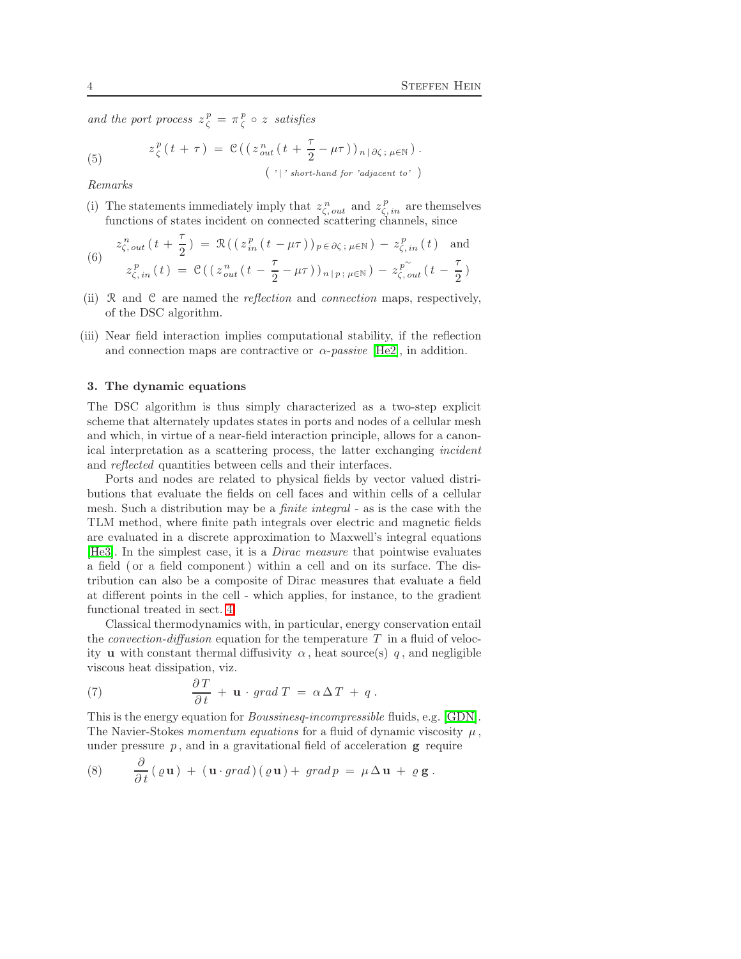and the port process  $z_{\zeta}^p = \pi_{\zeta}^p \circ z$  satisfies

(5) 
$$
z_{\zeta}^{p}(t+\tau) = \mathcal{C}\left(\left(z_{out}^{n}(t+\frac{\tau}{2}-\mu\tau)\right)_{n\,|\,\partial\zeta\,;\,\mu\in\mathbb{N}}\right).
$$

$$
(\gamma_{\gamma_{\zeta}}^{n})_{\zeta} \cdot \mathcal{C}\left(\gamma_{\zeta_{\zeta}}^{n}(\tau+\tau)\right) = \mathcal{C}\left(\left(z_{out}^{n}(t+\frac{\tau}{2}-\mu\tau)\right)_{n\,|\,\partial\zeta\,;\,\mu\in\mathbb{N}}\right).
$$

Remarks

(i) The statements immediately imply that  $z_{\zeta, out}^n$  and  $z_{\zeta, in}^p$  are themselves functions of states incident on connected scattering channels, since

(6) 
$$
z_{\zeta,out}^n(t+\frac{\tau}{2}) = \mathcal{R}((z_{in}^p(t-\mu\tau))_{p\in\partial\zeta;\,\mu\in\mathbb{N}}) - z_{\zeta,in}^p(t) \text{ and}
$$

$$
z_{\zeta,in}^p(t) = \mathcal{C}((z_{out}^n(t-\frac{\tau}{2}-\mu\tau))_{n|p;\,\mu\in\mathbb{N}}) - z_{\zeta,out}^{p^{\sim}}(t-\frac{\tau}{2})
$$

- (ii) R and C are named the reflection and connection maps, respectively, of the DSC algorithm.
- (iii) Near field interaction implies computational stability, if the reflection and connection maps are contractive or  $\alpha$ -passive [\[He2\]](#page-9-2), in addition.

# <span id="page-3-0"></span>3. The dynamic equations

The DSC algorithm is thus simply characterized as a two-step explicit scheme that alternately updates states in ports and nodes of a cellular mesh and which, in virtue of a near-field interaction principle, allows for a canonical interpretation as a scattering process, the latter exchanging incident and reflected quantities between cells and their interfaces.

Ports and nodes are related to physical fields by vector valued distributions that evaluate the fields on cell faces and within cells of a cellular mesh. Such a distribution may be a finite integral - as is the case with the TLM method, where finite path integrals over electric and magnetic fields are evaluated in a discrete approximation to Maxwell's integral equations [\[He3\]](#page-9-4). In the simplest case, it is a Dirac measure that pointwise evaluates a field ( or a field component ) within a cell and on its surface. The distribution can also be a composite of Dirac measures that evaluate a field at different points in the cell - which applies, for instance, to the gradient functional treated in sect. [4.](#page-4-0)

<span id="page-3-2"></span>Classical thermodynamics with, in particular, energy conservation entail the *convection-diffusion* equation for the temperature  $T$  in a fluid of velocity **u** with constant thermal diffusivity  $\alpha$ , heat source(s) q, and negligible viscous heat dissipation, viz.

(7) 
$$
\frac{\partial T}{\partial t} + \mathbf{u} \cdot grad T = \alpha \Delta T + q.
$$

<span id="page-3-1"></span>This is the energy equation for Boussinesq-incompressible fluids, e.g. [\[GDN\]](#page-9-5). The Navier-Stokes momentum equations for a fluid of dynamic viscosity  $\mu$ , under pressure  $p$ , and in a gravitational field of acceleration  $g$  require

(8) 
$$
\frac{\partial}{\partial t}(\varrho \mathbf{u}) + (\mathbf{u} \cdot grad)(\varrho \mathbf{u}) + grad p = \mu \Delta \mathbf{u} + \varrho \mathbf{g}.
$$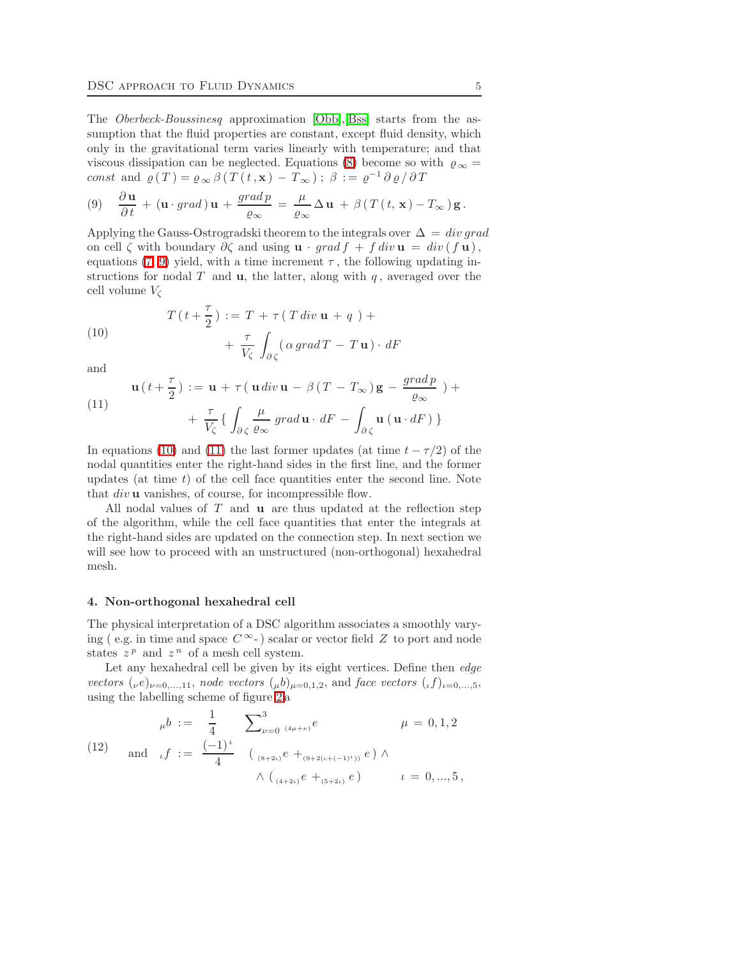The Oberbeck-Boussinesq approximation [\[Obb\]](#page-9-6),[\[Bss\]](#page-9-7) starts from the assumption that the fluid properties are constant, except fluid density, which only in the gravitational term varies linearly with temperature; and that viscous dissipation can be neglected. Equations [\(8\)](#page-3-1) become so with  $\varrho_{\infty} =$ const and  $\varrho(T) = \varrho_{\infty} \beta(T(t, \mathbf{x}) - T_{\infty})$ ;  $\beta := \varrho^{-1} \partial \varrho / \partial T$ 

<span id="page-4-1"></span>(9) 
$$
\frac{\partial \mathbf{u}}{\partial t} + (\mathbf{u} \cdot grad) \mathbf{u} + \frac{grad p}{\varrho_{\infty}} = \frac{\mu}{\varrho_{\infty}} \Delta \mathbf{u} + \beta (T(t, \mathbf{x}) - T_{\infty}) \mathbf{g}.
$$

Applying the Gauss-Ostrogradski theorem to the integrals over  $\Delta = div grad$ on cell  $\zeta$  with boundary  $\partial \zeta$  and using  $\mathbf{u} \cdot \text{grad } f + \text{div } \mathbf{u} = \text{div } (\text{f } \mathbf{u}),$ equations [\(7,](#page-3-2) [9\)](#page-4-1) yield, with a time increment  $\tau$ , the following updating instructions for nodal  $T$  and  $\mathbf{u}$ , the latter, along with  $q$ , averaged over the cell volume  $V_c$ 

<span id="page-4-2"></span>(10)  

$$
T(t + \frac{\tau}{2}) := T + \tau (T \operatorname{div} \mathbf{u} + q) +
$$

$$
+ \frac{\tau}{V_{\zeta}} \int_{\partial \zeta} (\alpha \operatorname{grad} T - T \mathbf{u}) \cdot dF
$$

<span id="page-4-3"></span>and

(11)  
\n
$$
\mathbf{u}(t+\frac{\tau}{2}) := \mathbf{u} + \tau (\mathbf{u} \operatorname{div} \mathbf{u} - \beta (T - T_{\infty}) \mathbf{g} - \frac{\operatorname{grad} p}{\varrho_{\infty}}) + \frac{\tau}{V_{\zeta}} \{ \int_{\partial \zeta} \frac{\mu}{\varrho_{\infty}} \operatorname{grad} \mathbf{u} \cdot dF - \int_{\partial \zeta} \mathbf{u} (\mathbf{u} \cdot dF) \}
$$

In equations [\(10\)](#page-4-2) and [\(11\)](#page-4-3) the last former updates (at time  $t - \tau/2$ ) of the nodal quantities enter the right-hand sides in the first line, and the former updates (at time  $t$ ) of the cell face quantities enter the second line. Note that div u vanishes, of course, for incompressible flow.

All nodal values of  $T$  and  $\bf{u}$  are thus updated at the reflection step of the algorithm, while the cell face quantities that enter the integrals at the right-hand sides are updated on the connection step. In next section we will see how to proceed with an unstructured (non-orthogonal) hexahedral mesh.

## <span id="page-4-0"></span>4. Non-orthogonal hexahedral cell

The physical interpretation of a DSC algorithm associates a smoothly varying ( e.g. in time and space  $C^{\infty}$ -) scalar or vector field Z to port and node states  $z^p$  and  $z^n$  of a mesh cell system.

Let any hexahedral cell be given by its eight vertices. Define then *edge* vectors  $(\nu e)_{\nu=0,\dots,11}$ , node vectors  $(\mu b)_{\mu=0,1,2}$ , and face vectors  $(\nu f)_{\nu=0,\dots,5}$ , using the labelling scheme of figure [2](#page-5-0) a

(12) 
$$
\mu b := \frac{1}{4} \sum_{\nu=0}^{3} \frac{(\mu + \nu)^e}{(\mu + \nu)^e} \qquad \mu = 0, 1, 2
$$
  
\nand  $\iota f := \frac{(-1)^{\iota}}{4} \left( \frac{(\mu + 2\iota)^e}{(\mu + 2\iota)^e} + \frac{(\mu + 2\iota)^e}{(\mu + 2\iota)^e} \right) \wedge$   
\n $\wedge \left( \frac{(\mu + 2\iota)^e}{(\mu + 2\iota)^e} + \frac{(\mu + 2\iota)^e}{(\mu + 2\iota)^e} \right) \qquad \iota = 0, ..., 5,$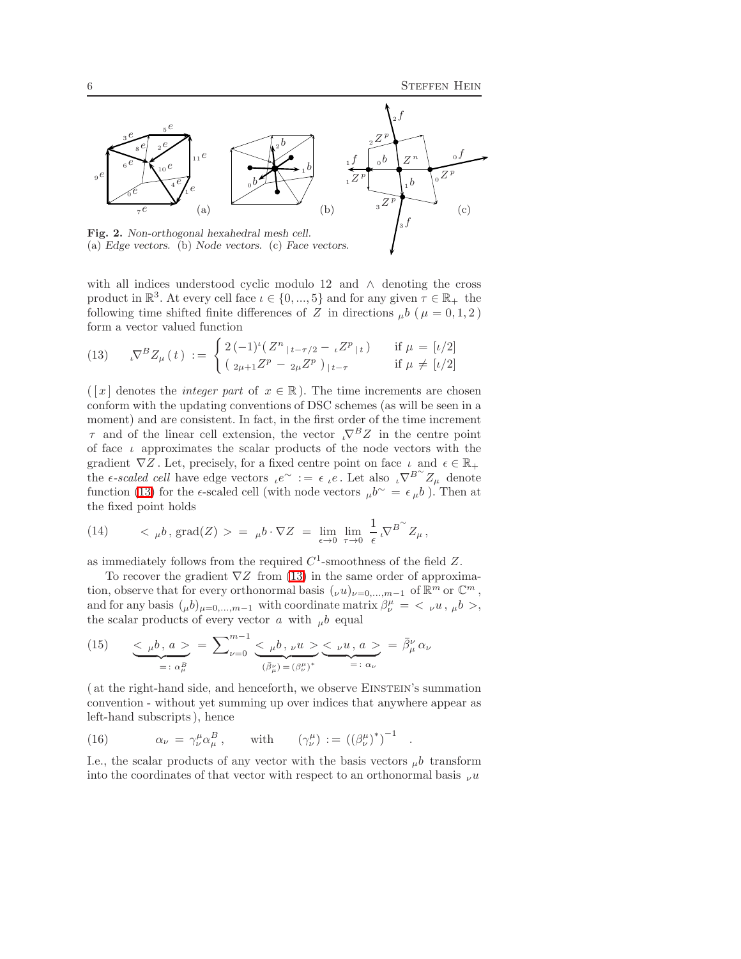

<span id="page-5-1"></span><span id="page-5-0"></span>with all indices understood cyclic modulo 12 and  $\land$  denoting the cross product in  $\mathbb{R}^3$ . At every cell face  $\iota \in \{0, ..., 5\}$  and for any given  $\tau \in \mathbb{R}_+$  the following time shifted finite differences of Z in directions  $\mu b$  ( $\mu = 0, 1, 2$ ) form a vector valued function

(13) 
$$
\nabla^B Z_{\mu}(t) := \begin{cases} 2(-1)^{\iota} (Z^n|_{t-\tau/2} - \iota Z^p|_{t}) & \text{if } \mu = [\iota/2] \\ (\iota_{\mu+1} Z^p - \iota_{\mu} Z^p)|_{t-\tau} & \text{if } \mu \neq [\iota/2] \end{cases}
$$

( [x] denotes the *integer part* of  $x \in \mathbb{R}$ ). The time increments are chosen conform with the updating conventions of DSC schemes (as will be seen in a moment) and are consistent. In fact, in the first order of the time increment  $\tau$  and of the linear cell extension, the vector  $\sqrt{P}Z$  in the centre point of face  $\iota$  approximates the scalar products of the node vectors with the gradient  $\nabla Z$ . Let, precisely, for a fixed centre point on face  $\iota$  and  $\epsilon \in \mathbb{R}_+$ the  $\epsilon$ -scaled cell have edge vectors  $\iota e^{\sim} := \epsilon \iota e$ . Let also  $\iota \nabla^{B} Z_{\mu}$  denote function [\(13\)](#page-5-1) for the  $\epsilon$ -scaled cell (with node vectors  $\mu b^{\sim} = \epsilon_{\mu} b$ ). Then at the fixed point holds

<span id="page-5-2"></span>(14) 
$$
\langle \mu b, \text{grad}(Z) \rangle = \mu b \cdot \nabla Z = \lim_{\epsilon \to 0} \lim_{\tau \to 0} \frac{1}{\epsilon} \sqrt{B^2} Z_{\mu},
$$

as immediately follows from the required  $C^1$ -smoothness of the field Z.

To recover the gradient  $\nabla Z$  from [\(13\)](#page-5-1) in the same order of approximation, observe that for every orthonormal basis  $(\nu u)_{\nu=0,\dots,m-1}$  of  $\mathbb{R}^m$  or  $\mathbb{C}^m$ , and for any basis  $(\mu b)_{\mu=0,\dots,m-1}$  with coordinate matrix  $\beta^{\mu}_{\nu} = \langle \nu u, \mu b \rangle$ , the scalar products of every vector  $a$  with  $_{\mu}b$  equal

(15) 
$$
\underbrace{\langle \mu b, a \rangle}_{=: \alpha_{\mu}^{B}} = \sum_{\nu=0}^{m-1} \underbrace{\langle \mu b, \nu u \rangle}_{(\bar{\beta}_{\mu}^{\nu}) = (\beta_{\nu}^{\mu})^{*}} \underbrace{\langle \nu u, a \rangle}_{=:\alpha_{\nu}} = \bar{\beta}_{\mu}^{\nu} \alpha_{\nu}
$$

(at the right-hand side, and henceforth, we observe EINSTEIN's summation convention - without yet summing up over indices that anywhere appear as left-hand subscripts ), hence

(16) 
$$
\alpha_{\nu} = \gamma_{\nu}^{\mu} \alpha_{\mu}^{B}, \quad \text{with} \quad (\gamma_{\nu}^{\mu}) := ((\beta_{\nu}^{\mu})^{*})^{-1}
$$

I.e., the scalar products of any vector with the basis vectors  $_{\mu}b$  transform into the coordinates of that vector with respect to an orthonormal basis  $\nu u$ 

.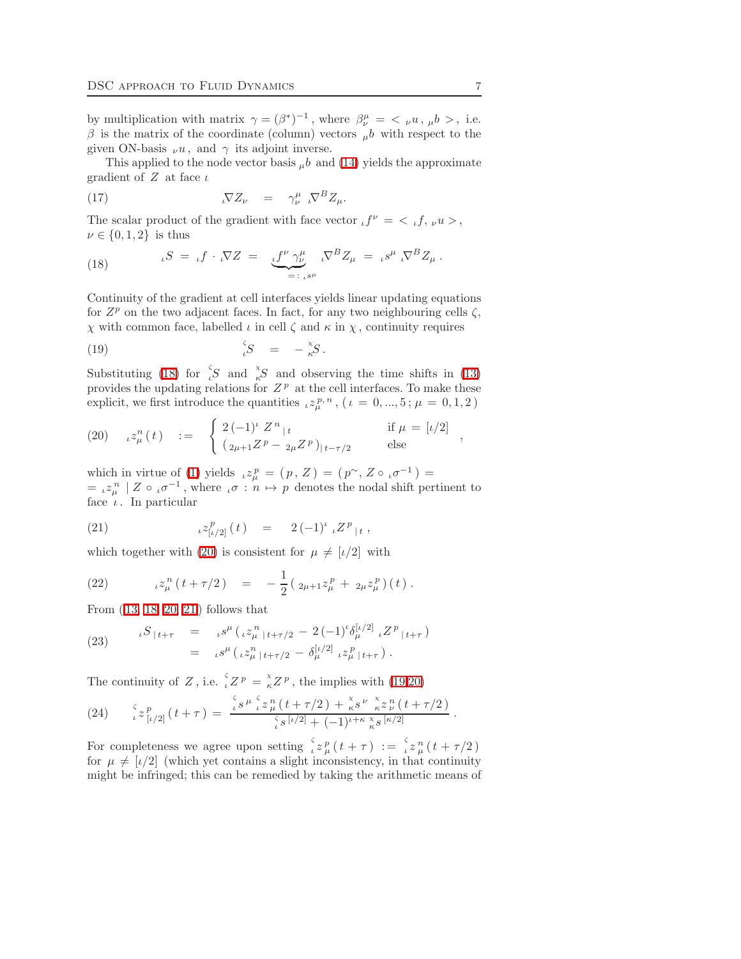by multiplication with matrix  $\gamma = (\beta^*)^{-1}$ , where  $\beta^{\mu}_{\nu} = \langle \nu u, \mu b \rangle$ , i.e.  $\beta$  is the matrix of the coordinate (column) vectors  $\mu b$  with respect to the given ON-basis  $_{\nu}u$ , and  $\gamma$  its adjoint inverse.

<span id="page-6-4"></span>This applied to the node vector basis  $\mu b$  and [\(14\)](#page-5-2) yields the approximate gradient of  $Z$  at face  $\iota$ 

(17) 
$$
\nabla Z_{\nu} = \gamma_{\nu}^{\mu} \nabla^{B} Z_{\mu}.
$$

<span id="page-6-0"></span>The scalar product of the gradient with face vector  $_{\iota}f^{\nu} = \langle \iota f, \nu u \rangle$ ,  $\nu \in \{0, 1, 2\}$  is thus

(18) 
$$
{}_{\iota}S = {}_{\iota}f \cdot {}_{\iota}\nabla Z = \underbrace{{}_{\iota}f^{\nu}\gamma_{\nu}^{\mu}}_{=: {}_{\iota}s^{\mu}} {}_{\iota}\nabla^{B}Z_{\mu} = {}_{\iota}s^{\mu} {}_{\iota}\nabla^{B}Z_{\mu}.
$$

<span id="page-6-3"></span>Continuity of the gradient at cell interfaces yields linear updating equations for  $Z^p$  on the two adjacent faces. In fact, for any two neighbouring cells  $\zeta$ , χ with common face, labelled ι in cell ζ and κ in χ , continuity requires

$$
\int_{c}^{c} S = -\frac{v}{\kappa} S.
$$

<span id="page-6-1"></span>Substituting [\(18\)](#page-6-0) for  ${}^{\zeta}_{\kappa}S$  and  ${}^{\chi}_{\kappa}S$  and observing the time shifts in [\(13\)](#page-5-1) provides the updating relations for  $Z<sup>p</sup>$  at the cell interfaces. To make these explicit, we first introduce the quantities  $_{\iota}z_{\mu}^{p,n}$ , ( $\iota = 0,...,5$ ;  $\mu = 0,1,2$ )

(20) 
$$
_{\iota}z_{\mu}^{n}(t) := \begin{cases} 2(-1)^{\iota} Z^{n}{}_{|t} & \text{if } \mu = [\iota/2] \\ (2\mu + 1}Z^{p} - 2\mu Z^{p})_{|t-\tau/2} & \text{else} \end{cases}
$$

<span id="page-6-2"></span>which in virtue of [\(1\)](#page-1-1) yields  $\iota^2_{\mu} = (p, Z) = (p^{\sim}, Z \circ \iota \sigma^{-1}) =$  $= \iota^2_{\mu}$  |  $Z \circ \iota^{\sigma-1}$ , where  $\iota^{\sigma} : n \mapsto p$  denotes the nodal shift pertinent to face  $\iota$ . In particular

(21) 
$$
{}_{\iota}z_{[\iota/2]}^p(t) = 2(-1)^{\iota} {}_{\iota}Z^p|_t,
$$

which together with [\(20\)](#page-6-1) is consistent for  $\mu \neq [\iota/2]$  with

(22) 
$$
z_{\mu}^{n}(t+\tau/2) = -\frac{1}{2} (z_{\mu+1}z_{\mu}^{p} + z_{\mu}z_{\mu}^{p})(t).
$$

From( [13,](#page-5-1) [18,](#page-6-0) [20,](#page-6-1) [21](#page-6-2) ) follows that

(23) 
$$
\iota^{S}|_{t+\tau} = \iota^{S^{\mu}}(\iota z_{\mu}^{n}|_{t+\tau/2} - 2(-1)^{\iota} \delta_{\mu}^{[\iota/2]} \iota Z^{p}|_{t+\tau})
$$

$$
= \iota^{S^{\mu}}(\iota z_{\mu}^{n}|_{t+\tau/2} - \delta_{\mu}^{[\iota/2]} \iota z_{\mu}^{p}|_{t+\tau}).
$$

The continuity of Z, i.e.  ${}_{i}^{c}Z^{p} = {}_{\kappa}^{x}Z^{p}$ , the implies with [\(19,](#page-6-3)[20\)](#page-6-1)

(24) 
$$
\int_{L}^{C} z \, \frac{p}{[\iota/2]}(t+\tau) \, dx = \frac{\int_{L}^{C} s^{\mu} \int_{L}^{C} z \, \frac{n}{\mu}(t+\tau/2) \, + \int_{K}^{X} s^{\nu} \int_{K}^{C} z \, \frac{n}{\mu}(t+\tau/2)}{\int_{L}^{C} s^{\left[\iota/2\right]} + (-1)^{\iota+\kappa} \int_{K}^{X} s^{\left[\kappa/2\right]}} \, .
$$

For completeness we agree upon setting  $\int_{t}^{c} z \frac{p}{\mu} (t + \tau) := \int_{t}^{c} z \frac{n}{\mu} (t + \tau/2)$ for  $\mu \neq [\iota/2]$  (which yet contains a slight inconsistency, in that continuity might be infringed; this can be remedied by taking the arithmetic means of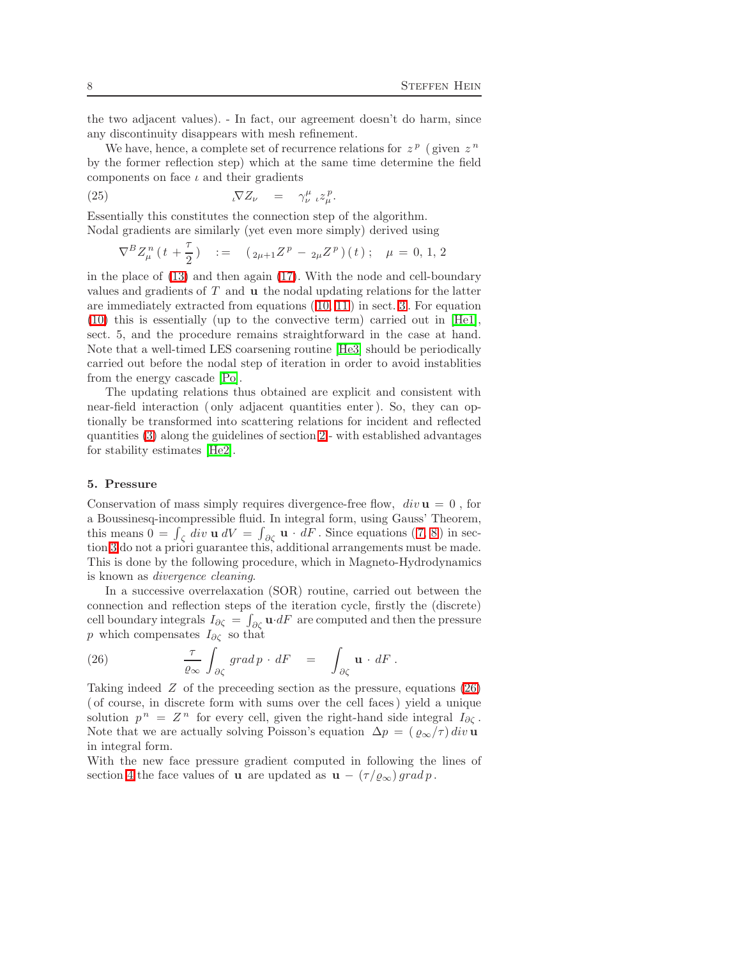the two adjacent values). - In fact, our agreement doesn't do harm, since any discontinuity disappears with mesh refinement.

We have, hence, a complete set of recurrence relations for  $z^p$  (given  $z^n$ by the former reflection step) which at the same time determine the field components on face  $\iota$  and their gradients

(25)  $\qquad \qquad \nabla Z_{\nu} = \gamma_{\nu}^{\mu}{}_{\iota} z_{\mu}^{p}.$ 

Essentially this constitutes the connection step of the algorithm. Nodal gradients are similarly (yet even more simply) derived using

$$
\nabla^B Z_\mu^n(t + \frac{\tau}{2}) = (2\mu + 1Z^p - 2\mu Z^p)(t) ; \quad \mu = 0, 1, 2
$$

in the place of [\(13\)](#page-5-1) and then again [\(17\)](#page-6-4). With the node and cell-boundary values and gradients of  $T$  and  $\bf{u}$  the nodal updating relations for the latter are immediately extracted from equations( [10,](#page-4-2) [11](#page-4-3) ) in sect. [3](#page-3-0) . For equation [\(10\)](#page-4-2) this is essentially (up to the convective term) carried out in [\[He1\]](#page-9-1), sect. 5, and the procedure remains straightforward in the case at hand. Note that a well-timed LES coarsening routine [\[He3\]](#page-9-4) should be periodically carried out before the nodal step of iteration in order to avoid instablities from the energy cascade [\[Po\]](#page-9-8).

The updating relations thus obtained are explicit and consistent with near-field interaction ( only adjacent quantities enter ). So, they can optionally be transformed into scattering relations for incident and reflected quantities [\(3\)](#page-2-0) along the guidelines of section [2](#page-1-0) - with established advantages for stability estimates [\[He2\]](#page-9-2).

## 5. Pressure

Conservation of mass simply requires divergence-free flow,  $div \mathbf{u} = 0$ , for a Boussinesq-incompressible fluid. In integral form, using Gauss' Theorem, thismeans  $0 = \int_{\zeta} div \mathbf{u} dV = \int_{\partial \zeta} \mathbf{u} \cdot dF$ . Since equations (7, [8](#page-3-1)) in section [3](#page-3-0) do not a priori guarantee this, additional arrangements must be made. This is done by the following procedure, which in Magneto-Hydrodynamics is known as divergence cleaning.

<span id="page-7-0"></span>In a successive overrelaxation (SOR) routine, carried out between the connection and reflection steps of the iteration cycle, firstly the (discrete) cell boundary integrals  $I_{\partial \zeta} = \int_{\partial \zeta} \mathbf{u} \cdot dF$  are computed and then the pressure p which compensates  $I_{\partial \zeta}$  so that

(26) 
$$
\frac{\tau}{\varrho_{\infty}} \int_{\partial \zeta} grad p \cdot dF = \int_{\partial \zeta} \mathbf{u} \cdot dF.
$$

Taking indeed  $Z$  of the preceeding section as the pressure, equations [\(26\)](#page-7-0) ( of course, in discrete form with sums over the cell faces ) yield a unique solution  $p^n = Z^n$  for every cell, given the right-hand side integral  $I_{\partial \zeta}$ . Note that we are actually solving Poisson's equation  $\Delta p = (\varrho_{\infty}/\tau) \operatorname{div} \mathbf{u}$ in integral form.

With the new face pressure gradient computed in following the lines of section [4](#page-4-0) the face values of **u** are updated as  $\mathbf{u} - (\tau/\rho_{\infty})$  grad p.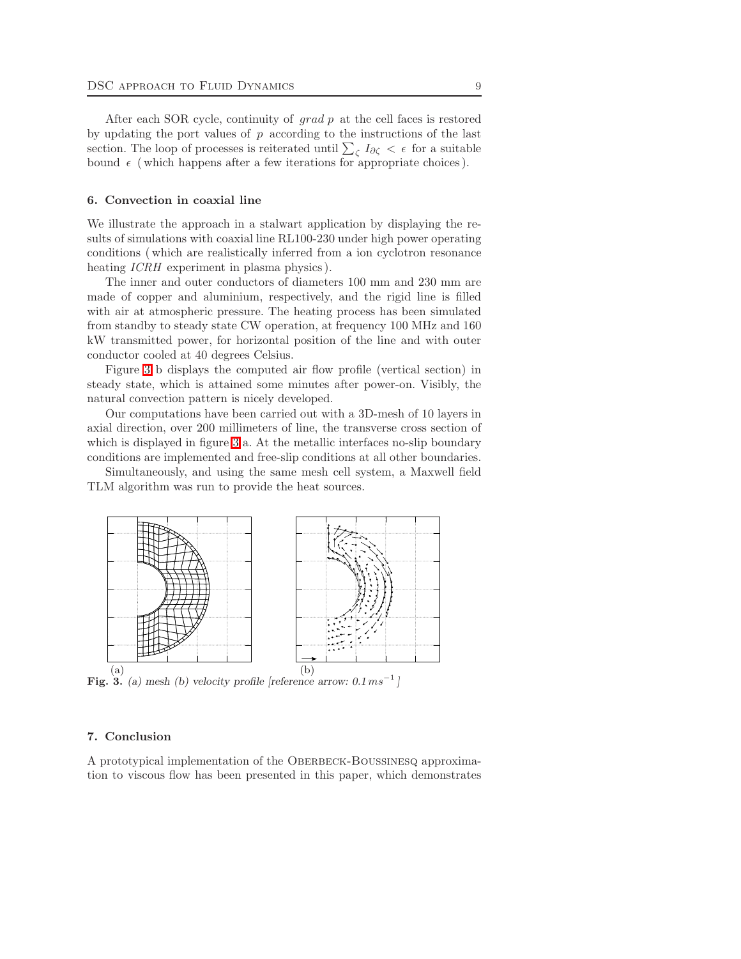After each SOR cycle, continuity of  $\operatorname{grad} p$  at the cell faces is restored by updating the port values of  $p$  according to the instructions of the last section. The loop of processes is reiterated until  $\sum_{\zeta} I_{\partial \zeta} < \epsilon$  for a suitable bound  $\epsilon$  (which happens after a few iterations for appropriate choices).

## 6. Convection in coaxial line

We illustrate the approach in a stalwart application by displaying the results of simulations with coaxial line RL100-230 under high power operating conditions ( which are realistically inferred from a ion cyclotron resonance heating *ICRH* experiment in plasma physics).

The inner and outer conductors of diameters 100 mm and 230 mm are made of copper and aluminium, respectively, and the rigid line is filled with air at atmospheric pressure. The heating process has been simulated from standby to steady state CW operation, at frequency 100 MHz and 160 kW transmitted power, for horizontal position of the line and with outer conductor cooled at 40 degrees Celsius.

Figure [3](#page-8-0) b displays the computed air flow profile (vertical section) in steady state, which is attained some minutes after power-on. Visibly, the natural convection pattern is nicely developed.

Our computations have been carried out with a 3D-mesh of 10 layers in axial direction, over 200 millimeters of line, the transverse cross section of which is displayed in figure [3](#page-8-0) a. At the metallic interfaces no-slip boundary conditions are implemented and free-slip conditions at all other boundaries.

Simultaneously, and using the same mesh cell system, a Maxwell field TLM algorithm was run to provide the heat sources.



<span id="page-8-0"></span>(a) (b)<br>Fig. 3. (a) mesh (b) velocity profile [reference arrow:  $0.1 \text{ ms}^{-1}$ ]

# 7. Conclusion

A prototypical implementation of the Oberbeck-Boussinesq approximation to viscous flow has been presented in this paper, which demonstrates